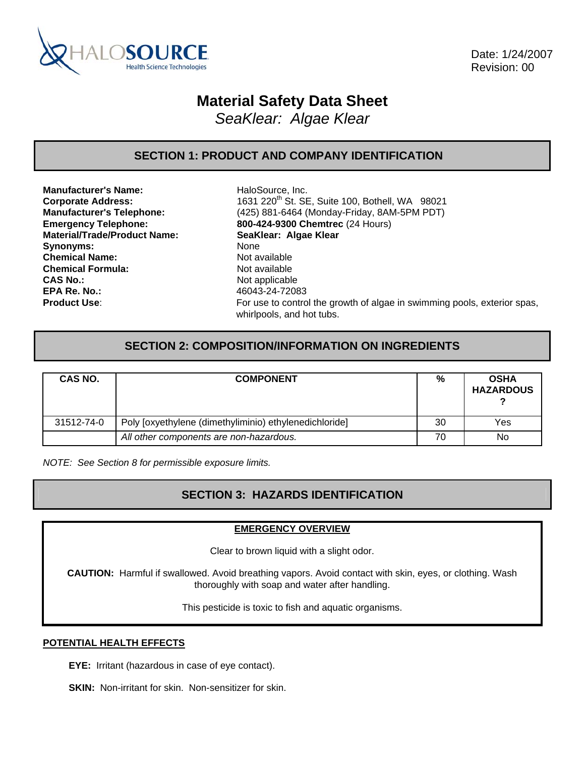

 Date: 1/24/2007 Revision: 00

# **Material Safety Data Sheet**

*SeaKlear: Algae Klear* 

### **SECTION 1: PRODUCT AND COMPANY IDENTIFICATION**

**Manufacturer's Name:** HaloSource, Inc. **Material/Trade/Product Name: SeaKlear: Algae Klear** Synonyms: None **Chemical Name:** Not available **Chemical Formula:** Not available **CAS No.:** Not applicable **EPA Re. No.:** 46043-24-72083

**Corporate Address:** 1631 220<sup>th</sup> St. SE, Suite 100, Bothell, WA 98021 **Manufacturer's Telephone:** (425) 881-6464 (Monday-Friday, 8AM-5PM PDT) **Emergency Telephone: 800-424-9300 Chemtrec** (24 Hours) **Product Use:** For use to control the growth of algae in swimming pools, exterior spas, whirlpools, and hot tubs.

### **SECTION 2: COMPOSITION/INFORMATION ON INGREDIENTS**

| CAS NO.    | <b>COMPONENT</b>                                       | %  | <b>OSHA</b><br><b>HAZARDOUS</b> |
|------------|--------------------------------------------------------|----|---------------------------------|
| 31512-74-0 | Poly [oxyethylene (dimethyliminio) ethylenedichloride] | 30 | Yes                             |
|            | All other components are non-hazardous.                | 70 | No                              |

*NOTE: See Section 8 for permissible exposure limits.* 

# **SECTION 3: HAZARDS IDENTIFICATION**

#### **EMERGENCY OVERVIEW**

Clear to brown liquid with a slight odor.

**CAUTION:** Harmful if swallowed. Avoid breathing vapors. Avoid contact with skin, eyes, or clothing. Wash thoroughly with soap and water after handling.

This pesticide is toxic to fish and aquatic organisms.

#### **POTENTIAL HEALTH EFFECTS**

**EYE:** Irritant (hazardous in case of eye contact).

**SKIN:** Non-irritant for skin. Non-sensitizer for skin.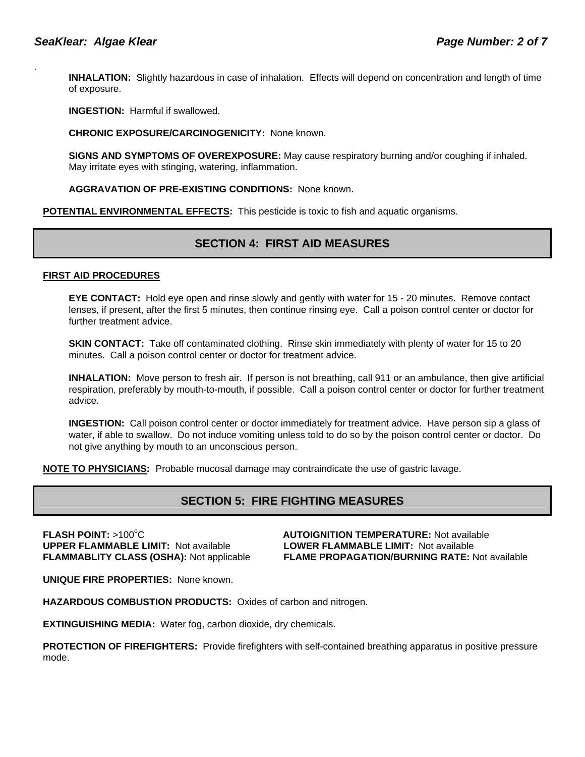.

**INHALATION:** Slightly hazardous in case of inhalation. Effects will depend on concentration and length of time of exposure.

**INGESTION:** Harmful if swallowed.

**CHRONIC EXPOSURE/CARCINOGENICITY:** None known.

**SIGNS AND SYMPTOMS OF OVEREXPOSURE:** May cause respiratory burning and/or coughing if inhaled. May irritate eyes with stinging, watering, inflammation.

**AGGRAVATION OF PRE-EXISTING CONDITIONS:** None known.

**POTENTIAL ENVIRONMENTAL EFFECTS:** This pesticide is toxic to fish and aquatic organisms.

### **SECTION 4: FIRST AID MEASURES**

#### **FIRST AID PROCEDURES**

**EYE CONTACT:** Hold eye open and rinse slowly and gently with water for 15 - 20 minutes. Remove contact lenses, if present, after the first 5 minutes, then continue rinsing eye. Call a poison control center or doctor for further treatment advice.

**SKIN CONTACT:** Take off contaminated clothing. Rinse skin immediately with plenty of water for 15 to 20 minutes. Call a poison control center or doctor for treatment advice.

**INHALATION:** Move person to fresh air. If person is not breathing, call 911 or an ambulance, then give artificial respiration, preferably by mouth-to-mouth, if possible. Call a poison control center or doctor for further treatment advice.

**INGESTION:** Call poison control center or doctor immediately for treatment advice. Have person sip a glass of water, if able to swallow. Do not induce vomiting unless told to do so by the poison control center or doctor. Do not give anything by mouth to an unconscious person.

**NOTE TO PHYSICIANS:** Probable mucosal damage may contraindicate the use of gastric lavage.

# **SECTION 5: FIRE FIGHTING MEASURES**

**FLASH POINT: >100°C UPPER FLAMMABLE LIMIT:** Not available **LOWER FLAMMABLE LIMIT:** Not available

**AUTOIGNITION TEMPERATURE: Not available FLAMMABLITY CLASS (OSHA):** Not applicable **FLAME PROPAGATION/BURNING RATE:** Not available

**UNIQUE FIRE PROPERTIES:** None known.

**HAZARDOUS COMBUSTION PRODUCTS:** Oxides of carbon and nitrogen.

**EXTINGUISHING MEDIA:** Water fog, carbon dioxide, dry chemicals.

**PROTECTION OF FIREFIGHTERS:** Provide firefighters with self-contained breathing apparatus in positive pressure mode.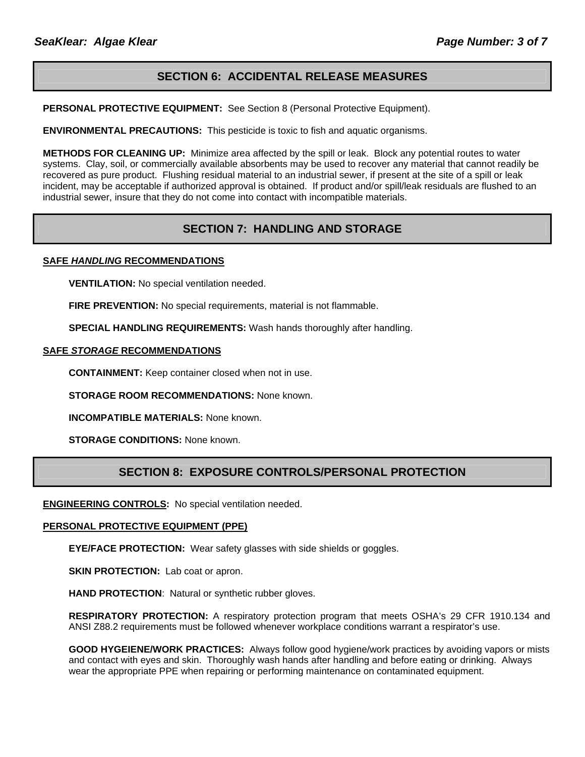# **SECTION 6: ACCIDENTAL RELEASE MEASURES**

**PERSONAL PROTECTIVE EQUIPMENT:** See Section 8 (Personal Protective Equipment).

**ENVIRONMENTAL PRECAUTIONS:** This pesticide is toxic to fish and aquatic organisms.

**METHODS FOR CLEANING UP:** Minimize area affected by the spill or leak. Block any potential routes to water systems. Clay, soil, or commercially available absorbents may be used to recover any material that cannot readily be recovered as pure product. Flushing residual material to an industrial sewer, if present at the site of a spill or leak incident, may be acceptable if authorized approval is obtained. If product and/or spill/leak residuals are flushed to an industrial sewer, insure that they do not come into contact with incompatible materials.

# **SECTION 7: HANDLING AND STORAGE**

#### **SAFE** *HANDLING* **RECOMMENDATIONS**

**VENTILATION:** No special ventilation needed.

**FIRE PREVENTION:** No special requirements, material is not flammable.

**SPECIAL HANDLING REQUIREMENTS:** Wash hands thoroughly after handling.

#### **SAFE** *STORAGE* **RECOMMENDATIONS**

**CONTAINMENT:** Keep container closed when not in use.

**STORAGE ROOM RECOMMENDATIONS:** None known.

**INCOMPATIBLE MATERIALS:** None known.

**STORAGE CONDITIONS:** None known.

### **SECTION 8: EXPOSURE CONTROLS/PERSONAL PROTECTION**

**ENGINEERING CONTROLS:** No special ventilation needed.

#### **PERSONAL PROTECTIVE EQUIPMENT (PPE)**

**EYE/FACE PROTECTION:** Wear safety glasses with side shields or goggles.

**SKIN PROTECTION:** Lab coat or apron.

**HAND PROTECTION**: Natural or synthetic rubber gloves.

**RESPIRATORY PROTECTION:** A respiratory protection program that meets OSHA's 29 CFR 1910.134 and ANSI Z88.2 requirements must be followed whenever workplace conditions warrant a respirator's use.

**GOOD HYGEIENE/WORK PRACTICES:** Always follow good hygiene/work practices by avoiding vapors or mists and contact with eyes and skin. Thoroughly wash hands after handling and before eating or drinking. Always wear the appropriate PPE when repairing or performing maintenance on contaminated equipment.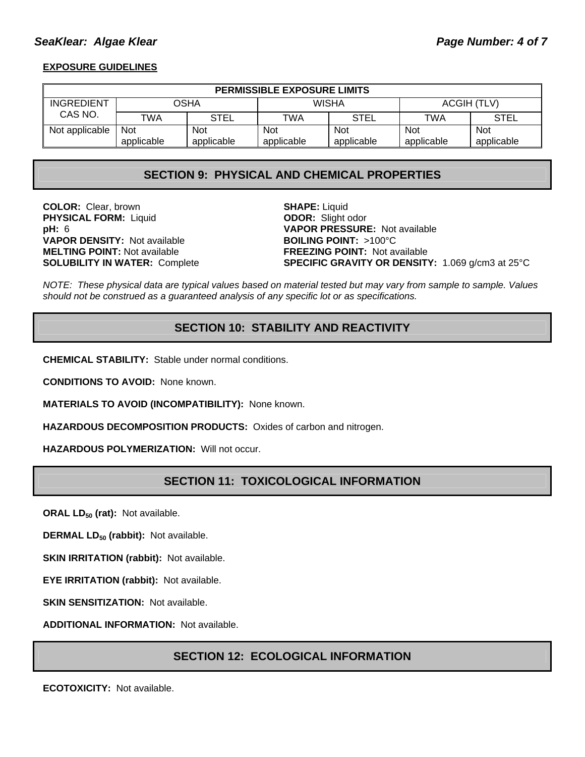#### **SeaKlear: Algae Klear Page 19 and Page Number: 4 of 7**

#### **EXPOSURE GUIDELINES**

| <b>PERMISSIBLE EXPOSURE LIMITS</b> |            |             |              |             |             |             |
|------------------------------------|------------|-------------|--------------|-------------|-------------|-------------|
| <b>INGREDIENT</b>                  | OSHA       |             | <b>WISHA</b> |             | ACGIH (TLV) |             |
| CAS NO.                            | TWA        | <b>STEL</b> | TWA          | <b>STEL</b> | TWA         | <b>STEL</b> |
| Not applicable                     | <b>Not</b> | <b>Not</b>  | <b>Not</b>   | Not         | <b>Not</b>  | <b>Not</b>  |
|                                    | applicable | applicable  | applicable   | applicable  | applicable  | applicable  |

### **SECTION 9: PHYSICAL AND CHEMICAL PROPERTIES**

**COLOR:** Clear, brown **SHAPE:** Liquid **PHYSICAL FORM:** Liquid **ODOR:** Slight odor **VAPOR DENSITY:** Not available **BOILING POINT:** >100°C **MELTING POINT:** Not available **FREEZING POINT:** Not available

**pH:** 6 **VAPOR PRESSURE:** Not available **SOLUBILITY IN WATER:** Complete **SPECIFIC GRAVITY OR DENSITY:** 1.069 g/cm3 at 25°C

*NOTE: These physical data are typical values based on material tested but may vary from sample to sample. Values should not be construed as a guaranteed analysis of any specific lot or as specifications.*

### **SECTION 10: STABILITY AND REACTIVITY**

**CHEMICAL STABILITY:** Stable under normal conditions.

**CONDITIONS TO AVOID:** None known.

**MATERIALS TO AVOID (INCOMPATIBILITY):** None known.

**HAZARDOUS DECOMPOSITION PRODUCTS:** Oxides of carbon and nitrogen.

**HAZARDOUS POLYMERIZATION:** Will not occur.

### **SECTION 11: TOXICOLOGICAL INFORMATION**

**ORAL LD<sub>50</sub> (rat):** Not available.

**DERMAL LD<sub>50</sub> (rabbit):** Not available.

**SKIN IRRITATION (rabbit): Not available.** 

**EYE IRRITATION (rabbit):** Not available.

**SKIN SENSITIZATION: Not available.** 

**ADDITIONAL INFORMATION:** Not available.

#### **SECTION 12: ECOLOGICAL INFORMATION**

**ECOTOXICITY:** Not available.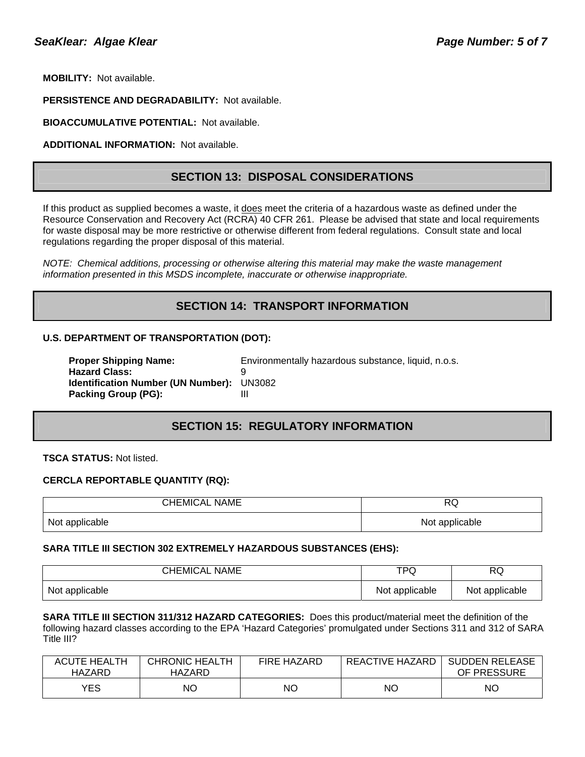**MOBILITY:** Not available.

**PERSISTENCE AND DEGRADABILITY:** Not available.

**BIOACCUMULATIVE POTENTIAL:** Not available.

**ADDITIONAL INFORMATION:** Not available.

#### **SECTION 13: DISPOSAL CONSIDERATIONS**

If this product as supplied becomes a waste, it does meet the criteria of a hazardous waste as defined under the Resource Conservation and Recovery Act (RCRA) 40 CFR 261. Please be advised that state and local requirements for waste disposal may be more restrictive or otherwise different from federal regulations. Consult state and local regulations regarding the proper disposal of this material.

*NOTE: Chemical additions, processing or otherwise altering this material may make the waste management information presented in this MSDS incomplete, inaccurate or otherwise inappropriate.* 

### **SECTION 14: TRANSPORT INFORMATION**

#### **U.S. DEPARTMENT OF TRANSPORTATION (DOT):**

| <b>Proper Shipping Name:</b>                     | Environmentally hazardous substance, liquid, n.o.s. |
|--------------------------------------------------|-----------------------------------------------------|
| <b>Hazard Class:</b>                             |                                                     |
| <b>Identification Number (UN Number): UN3082</b> |                                                     |
| Packing Group (PG):                              |                                                     |

# **SECTION 15: REGULATORY INFORMATION**

**TSCA STATUS:** Not listed.

#### **CERCLA REPORTABLE QUANTITY (RQ):**

| <b>CHEMICAL NAME</b> | RQ.            |  |
|----------------------|----------------|--|
| Not applicable       | Not applicable |  |

#### **SARA TITLE III SECTION 302 EXTREMELY HAZARDOUS SUBSTANCES (EHS):**

| <b>CHEMICAL NAME</b> | TPQ            | RQ             |
|----------------------|----------------|----------------|
| Not applicable       | Not applicable | Not applicable |

**SARA TITLE III SECTION 311/312 HAZARD CATEGORIES:** Does this product/material meet the definition of the following hazard classes according to the EPA 'Hazard Categories' promulgated under Sections 311 and 312 of SARA Title III?

| <b>ACUTE HEALTH</b><br>HAZARD | <b>CHRONIC HEALTH</b><br>HAZARD | <b>FIRE HAZARD</b> | REACTIVE HAZARD | <b>SUDDEN RELEASE</b><br>OF PRESSURE |
|-------------------------------|---------------------------------|--------------------|-----------------|--------------------------------------|
| YES                           | NΟ                              | NC                 | NΟ              | ΝO                                   |